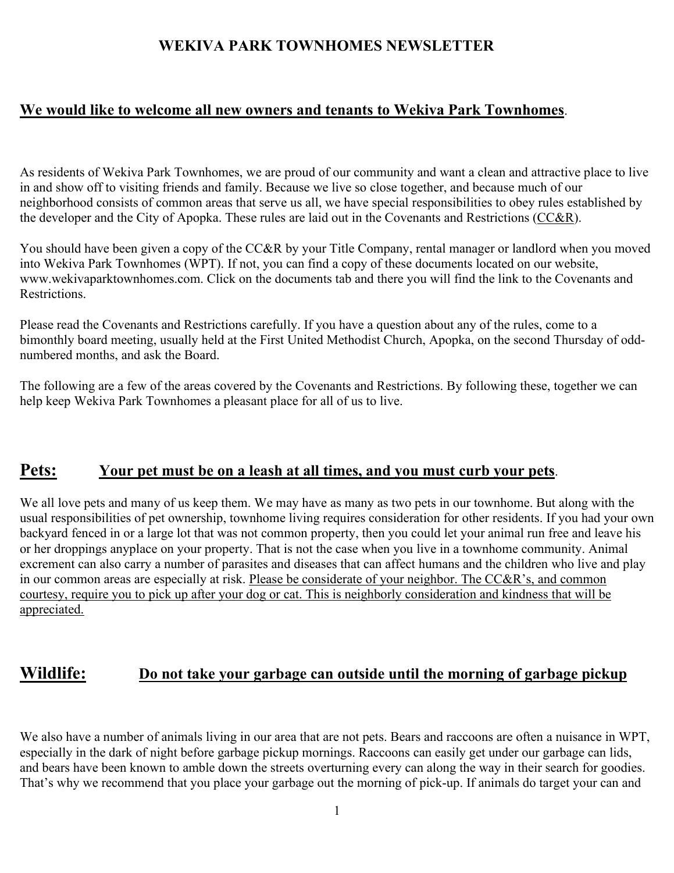## **WEKIVA PARK TOWNHOMES NEWSLETTER**

## **We would like to welcome all new owners and tenants to Wekiva Park Townhomes**.

As residents of Wekiva Park Townhomes, we are proud of our community and want a clean and attractive place to live in and show off to visiting friends and family. Because we live so close together, and because much of our neighborhood consists of common areas that serve us all, we have special responsibilities to obey rules established by the developer and the City of Apopka. These rules are laid out in the Covenants and Restrictions (CC&R).

You should have been given a copy of the CC&R by your Title Company, rental manager or landlord when you moved into Wekiva Park Townhomes (WPT). If not, you can find a copy of these documents located on our website, www.wekivaparktownhomes.com. Click on the documents tab and there you will find the link to the Covenants and Restrictions.

Please read the Covenants and Restrictions carefully. If you have a question about any of the rules, come to a bimonthly board meeting, usually held at the First United Methodist Church, Apopka, on the second Thursday of oddnumbered months, and ask the Board.

The following are a few of the areas covered by the Covenants and Restrictions. By following these, together we can help keep Wekiva Park Townhomes a pleasant place for all of us to live.

### **Pets: Your pet must be on a leash at all times, and you must curb your pets**.

We all love pets and many of us keep them. We may have as many as two pets in our townhome. But along with the usual responsibilities of pet ownership, townhome living requires consideration for other residents. If you had your own backyard fenced in or a large lot that was not common property, then you could let your animal run free and leave his or her droppings anyplace on your property. That is not the case when you live in a townhome community. Animal excrement can also carry a number of parasites and diseases that can affect humans and the children who live and play in our common areas are especially at risk. Please be considerate of your neighbor. The CC&R's, and common courtesy, require you to pick up after your dog or cat. This is neighborly consideration and kindness that will be appreciated.

## **Wildlife: Do not take your garbage can outside until the morning of garbage pickup**

We also have a number of animals living in our area that are not pets. Bears and raccoons are often a nuisance in WPT, especially in the dark of night before garbage pickup mornings. Raccoons can easily get under our garbage can lids, and bears have been known to amble down the streets overturning every can along the way in their search for goodies. That's why we recommend that you place your garbage out the morning of pick-up. If animals do target your can and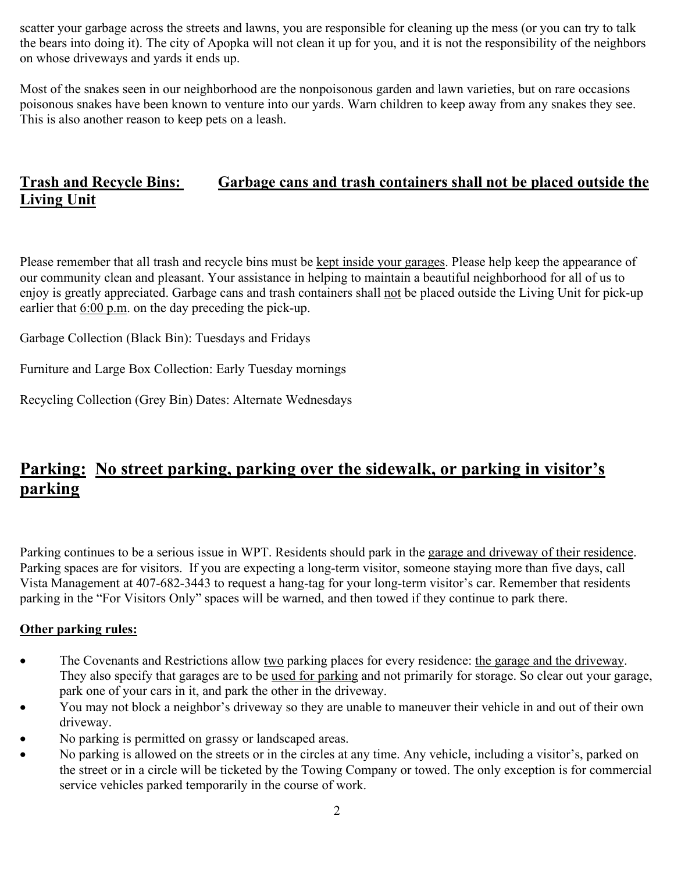scatter your garbage across the streets and lawns, you are responsible for cleaning up the mess (or you can try to talk the bears into doing it). The city of Apopka will not clean it up for you, and it is not the responsibility of the neighbors on whose driveways and yards it ends up.

Most of the snakes seen in our neighborhood are the nonpoisonous garden and lawn varieties, but on rare occasions poisonous snakes have been known to venture into our yards. Warn children to keep away from any snakes they see. This is also another reason to keep pets on a leash.

# **Trash and Recycle Bins: Garbage cans and trash containers shall not be placed outside the Living Unit**

Please remember that all trash and recycle bins must be kept inside your garages. Please help keep the appearance of our community clean and pleasant. Your assistance in helping to maintain a beautiful neighborhood for all of us to enjoy is greatly appreciated. Garbage cans and trash containers shall not be placed outside the Living Unit for pick-up earlier that 6:00 p.m. on the day preceding the pick-up.

Garbage Collection (Black Bin): Tuesdays and Fridays

Furniture and Large Box Collection: Early Tuesday mornings

Recycling Collection (Grey Bin) Dates: Alternate Wednesdays

# **Parking: No street parking, parking over the sidewalk, or parking in visitor's parking**

Parking continues to be a serious issue in WPT. Residents should park in the garage and driveway of their residence. Parking spaces are for visitors. If you are expecting a long-term visitor, someone staying more than five days, call Vista Management at 407-682-3443 to request a hang-tag for your long-term visitor's car. Remember that residents parking in the "For Visitors Only" spaces will be warned, and then towed if they continue to park there.

#### **Other parking rules:**

- The Covenants and Restrictions allow two parking places for every residence: the garage and the driveway. They also specify that garages are to be used for parking and not primarily for storage. So clear out your garage, park one of your cars in it, and park the other in the driveway.
- You may not block a neighbor's driveway so they are unable to maneuver their vehicle in and out of their own driveway.
- No parking is permitted on grassy or landscaped areas.
- No parking is allowed on the streets or in the circles at any time. Any vehicle, including a visitor's, parked on the street or in a circle will be ticketed by the Towing Company or towed. The only exception is for commercial service vehicles parked temporarily in the course of work.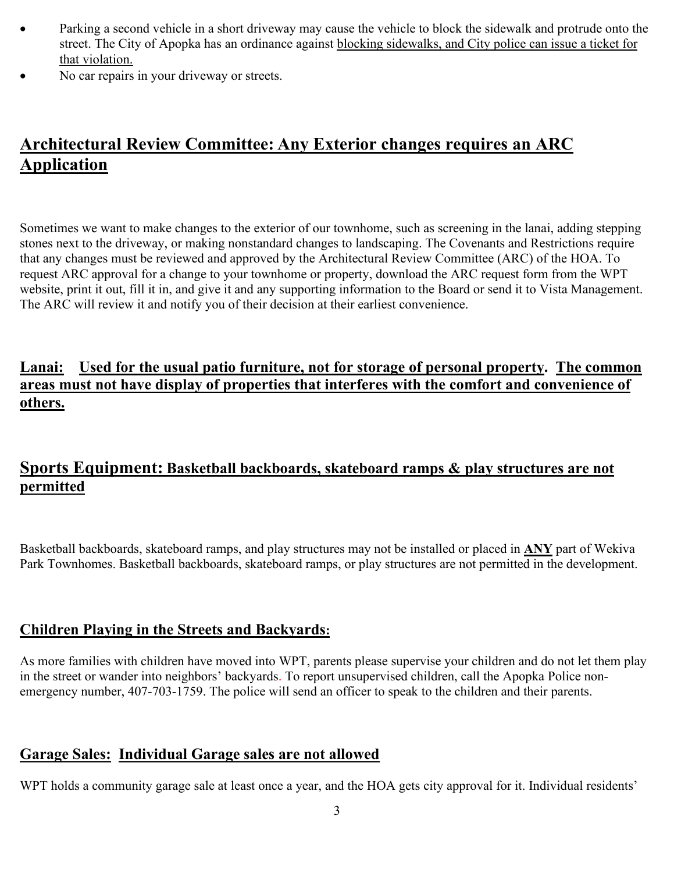- Parking a second vehicle in a short driveway may cause the vehicle to block the sidewalk and protrude onto the street. The City of Apopka has an ordinance against blocking sidewalks, and City police can issue a ticket for that violation.
- No car repairs in your driveway or streets.

# **Architectural Review Committee: Any Exterior changes requires an ARC Application**

Sometimes we want to make changes to the exterior of our townhome, such as screening in the lanai, adding stepping stones next to the driveway, or making nonstandard changes to landscaping. The Covenants and Restrictions require that any changes must be reviewed and approved by the Architectural Review Committee (ARC) of the HOA. To request ARC approval for a change to your townhome or property, download the ARC request form from the WPT website, print it out, fill it in, and give it and any supporting information to the Board or send it to Vista Management. The ARC will review it and notify you of their decision at their earliest convenience.

# **Lanai: Used for the usual patio furniture, not for storage of personal property. The common areas must not have display of properties that interferes with the comfort and convenience of others.**

# **Sports Equipment: Basketball backboards, skateboard ramps & play structures are not permitted**

Basketball backboards, skateboard ramps, and play structures may not be installed or placed in **ANY** part of Wekiva Park Townhomes. Basketball backboards, skateboard ramps, or play structures are not permitted in the development.

# **Children Playing in the Streets and Backyards:**

As more families with children have moved into WPT, parents please supervise your children and do not let them play in the street or wander into neighbors' backyards. To report unsupervised children, call the Apopka Police nonemergency number, 407-703-1759. The police will send an officer to speak to the children and their parents.

# **Garage Sales: Individual Garage sales are not allowed**

WPT holds a community garage sale at least once a year, and the HOA gets city approval for it. Individual residents'